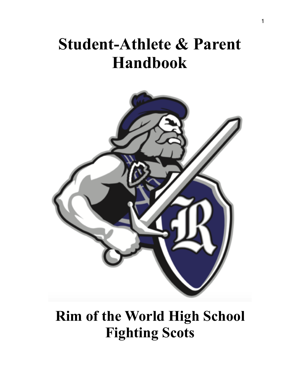# **Student-Athlete & Parent Handbook**



# **Rim of the World High School Fighting Scots**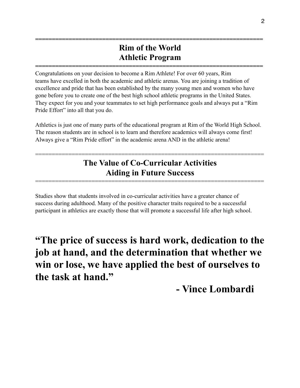### **Rim of the World Athletic Program**

**====================================================================** 

**====================================================================** 

Congratulations on your decision to become a Rim Athlete! For over 60 years, Rim teams have excelled in both the academic and athletic arenas. You are joining a tradition of excellence and pride that has been established by the many young men and women who have gone before you to create one of the best high school athletic programs in the United States. They expect for you and your teammates to set high performance goals and always put a "Rim Pride Effort" into all that you do.

Athletics is just one of many parts of the educational program at Rim of the World High School. The reason students are in school is to learn and therefore academics will always come first! Always give a "Rim Pride effort" in the academic arena AND in the athletic arena!

### **The Value of Co-Curricular Activities Aiding in Future Success**

=====================================================================

=====================================================================

Studies show that students involved in co-curricular activities have a greater chance of success during adulthood. Many of the positive character traits required to be a successful participant in athletics are exactly those that will promote a successful life after high school.

**"The price of success is hard work, dedication to the job at hand, and the determination that whether we win or lose, we have applied the best of ourselves to the task at hand."**

 **- Vince Lombardi**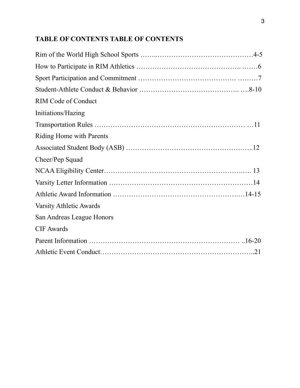### **TABLE OF CONTENTS TABLE OF CONTENTS**

| <b>RIM Code of Conduct</b> |  |
|----------------------------|--|
| Initiations/Hazing         |  |
|                            |  |
| Riding Home with Parents   |  |
|                            |  |
| Cheer/Pep Squad            |  |
|                            |  |
|                            |  |
|                            |  |
| Varsity Athletic Awards    |  |
| San Andreas League Honors  |  |
| <b>CIF</b> Awards          |  |
|                            |  |
|                            |  |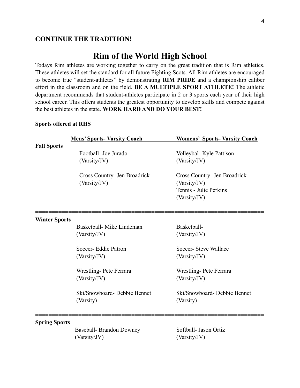#### **CONTINUE THE TRADITION!**

#### **Rim of the World High School**

Todays Rim athletes are working together to carry on the great tradition that is Rim athletics. These athletes will set the standard for all future Fighting Scots. All Rim athletes are encouraged to become true "student-athletes" by demonstrating **RIM PRIDE** and a championship caliber effort in the classroom and on the field. **BE A MULTIPLE SPORT ATHLETE!** The athletic department recommends that student-athletes participate in 2 or 3 sports each year of their high school career. This offers students the greatest opportunity to develop skills and compete against the best athletes in the state. **WORK HARD AND DO YOUR BEST!**

#### **Sports offered at RHS**

|                      | <b>Mens' Sports- Varsity Coach</b> | <b>Womens' Sports- Varsity Coach</b> |
|----------------------|------------------------------------|--------------------------------------|
| <b>Fall Sports</b>   |                                    |                                      |
|                      | Football- Joe Jurado               | Volleybal- Kyle Pattison             |
|                      | (Varsity/JV)                       | (Varsity/JV)                         |
|                      | Cross Country- Jen Broadrick       | Cross Country- Jen Broadrick         |
|                      | (Varsity/JV)                       | (Varsity/JV)                         |
|                      |                                    | Tennis - Julie Perkins               |
|                      |                                    | (Varsity/JV)                         |
|                      |                                    |                                      |
| <b>Winter Sports</b> | Basketball- Mike Lindeman          | Basketball-                          |
|                      | (Varsity/JV)                       | (Varsity/JV)                         |
|                      |                                    |                                      |
|                      | Soccer- Eddie Patron               | Soccer-Steve Wallace                 |
|                      | (Varsity/JV)                       | (Varsity/JV)                         |
|                      | Wrestling-Pete Ferrara             | Wrestling-Pete Ferrara               |
|                      | (Varsity/JV)                       | (Varsity/JV)                         |
|                      |                                    |                                      |
|                      | Ski/Snowboard-Debbie Bennet        | Ski/Snowboard-Debbie Bennet          |
|                      | (Varsity)                          | (Varsity)                            |
| <b>Spring Sports</b> |                                    |                                      |
|                      | Baseball- Brandon Downey           | Softball- Jason Ortiz                |
|                      | (Varsity/JV)                       | (Varsity/JV)                         |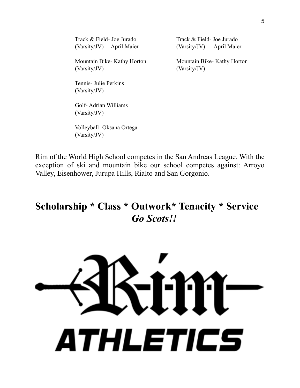| Track & Field- Joe Jurado  | Track & Field- Joe Jurado  |  |
|----------------------------|----------------------------|--|
| (Varsity/JV) April Maier   | (Varsity/JV) April Maier   |  |
| Mountain Bike-Kathy Horton | Mountain Bike-Kathy Horton |  |
| (Varsity/JV)               | (Varsity/JV)               |  |
| Tennis- Julie Perkins      |                            |  |
| (Varsity/JV)               |                            |  |
| Golf-Adrian Williams       |                            |  |
| (Varsity/JV)               |                            |  |

 Volleyball- Oksana Ortega (Varsity/JV)

Rim of the World High School competes in the San Andreas League. With the exception of ski and mountain bike our school competes against: Arroyo Valley, Eisenhower, Jurupa Hills, Rialto and San Gorgonio.

### **Scholarship \* Class \* Outwork\* Tenacity \* Service** *Go Scots!!*

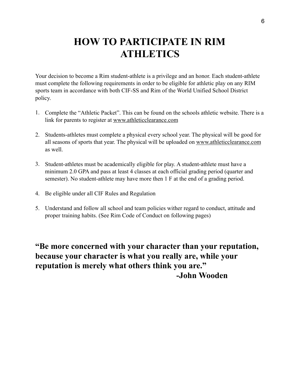### **HOW TO PARTICIPATE IN RIM ATHLETICS**

Your decision to become a Rim student-athlete is a privilege and an honor. Each student-athlete must complete the following requirements in order to be eligible for athletic play on any RIM sports team in accordance with both CIF-SS and Rim of the World Unified School District policy.

- 1. Complete the "Athletic Packet". This can be found on the schools athletic website. There is a link for parents to register at www.athleticclearance.com
- 2. Students-athletes must complete a physical every school year. The physical will be good for all seasons of sports that year. The physical will be uploaded on www.athleticclearance.com as well.
- 3. Student-athletes must be academically eligible for play. A student-athlete must have a minimum 2.0 GPA and pass at least 4 classes at each official grading period (quarter and semester). No student-athlete may have more then 1 F at the end of a grading period.
- 4. Be eligible under all CIF Rules and Regulation
- 5. Understand and follow all school and team policies wither regard to conduct, attitude and proper training habits. (See Rim Code of Conduct on following pages)

**"Be more concerned with your character than your reputation, because your character is what you really are, while your reputation is merely what others think you are." -John Wooden**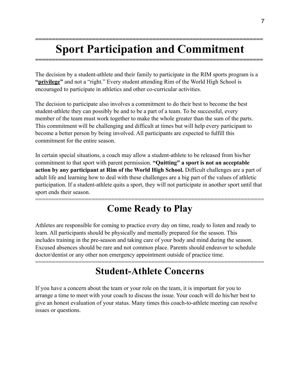## **Sport Participation and Commitment**

**====================================================================** 

**====================================================================** 

The decision by a student-athlete and their family to participate in the RIM sports program is a **"privilege"** and not a "right." Every student attending Rim of the World High School is encouraged to participate in athletics and other co-curricular activities.

The decision to participate also involves a commitment to do their best to become the best student-athlete they can possibly be and to be a part of a team. To be successful, every member of the team must work together to make the whole greater than the sum of the parts. This commitment will be challenging and difficult at times but will help every participant to become a better person by being involved. All participants are expected to fulfill this commitment for the entire season.

In certain special situations, a coach may allow a student-athlete to be released from his/her commitment to that sport with parent permission. **"Quitting" a sport is not an acceptable action by any participant at Rim of the World High School.** Difficult challenges are a part of adult life and learning how to deal with these challenges are a big part of the values of athletic participation. If a student-athlete quits a sport, they will not participate in another sport until that sport ends their season.

### ===================================================================== **Come Ready to Play**

Athletes are responsible for coming to practice every day on time, ready to listen and ready to learn. All participants should be physically and mentally prepared for the season. This includes training in the pre-season and taking care of your body and mind during the season. Excused absences should be rare and not common place. Parents should endeavor to schedule doctor/dentist or any other non emergency appointment outside of practice time.

### ===================================================================== **Student-Athlete Concerns**

If you have a concern about the team or your role on the team, it is important for you to arrange a time to meet with your coach to discuss the issue. Your coach will do his/her best to give an honest evaluation of your status. Many times this coach-to-athlete meeting can resolve issues or questions.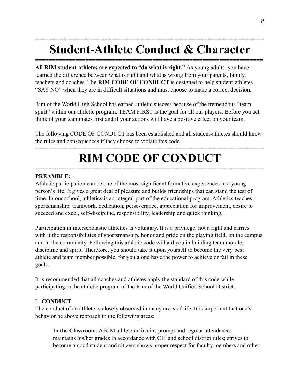## **Student-Athlete Conduct & Character**

**====================================================================** 

=====================================================================

**All RIM student-athletes are expected to "do what is right."** As young adults, you have learned the difference between what is right and what is wrong from your parents, family, teachers and coaches. The **RIM CODE OF CONDUCT** is designed to help student-athletes "SAY NO" when they are in difficult situations and must choose to make a correct decision.

Rim of the World High School has earned athletic success because of the tremendous "team spirit" within our athletic program. TEAM FIRST is the goal for all our players. Before you act, think of your teammates first and if your actions will have a positive effect on your team.

The following CODE OF CONDUCT has been established and all student-athletes should know the rules and consequences if they choose to violate this code.

### ===================================================================== **RIM CODE OF CONDUCT**

=====================================================================

#### **PREAMBLE:**

Athletic participation can be one of the most significant formative experiences in a young person's life. It gives a great deal of pleasure and builds friendships that can stand the test of time. In our school, athletics is an integral part of the educational program. Athletics teaches sportsmanship, teamwork, dedication, perseverance, appreciation for improvement, desire to succeed and excel, self-discipline, responsibility, leadership and quick thinking.

Participation in interscholastic athletics is voluntary. It is a privilege, not a right and carries with it the responsibilities of sportsmanship, honor and pride on the playing field, on the campus and in the community. Following this athletic code will aid you in building team morale, discipline and spirit. Therefore, you should take it upon yourself to become the very best athlete and team member possible, for you alone have the power to achieve or fail in these goals.

It is recommended that all coaches and athletes apply the standard of this code while participating in the athletic program of the Rim of the World Unified School District.

#### I. **CONDUCT**

The conduct of an athlete is closely observed in many areas of life. It is important that one's behavior be above reproach in the following areas:

**In the Classroom**: A RIM athlete maintains prompt and regular attendance; maintains his/her grades in accordance with CIF and school district rules; strives to become a good student and citizen; shows proper respect for faculty members and other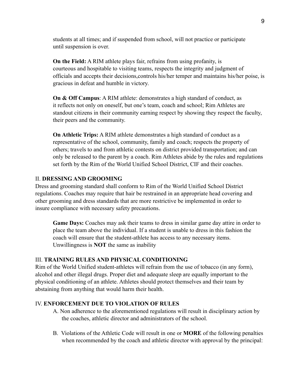students at all times; and if suspended from school, will not practice or participate until suspension is over.

**On the Field:** A RIM athlete plays fair, refrains from using profanity, is courteous and hospitable to visiting teams, respects the integrity and judgment of officials and accepts their decisions,controls his/her temper and maintains his/her poise, is gracious in defeat and humble in victory.

**On & Off Campus**: A RIM athlete: demonstrates a high standard of conduct, as it reflects not only on oneself, but one's team, coach and school; Rim Athletes are standout citizens in their community earning respect by showing they respect the faculty, their peers and the community.

**On Athletic Trips:** A RIM athlete demonstrates a high standard of conduct as a representative of the school, community, family and coach; respects the property of others; travels to and from athletic contests on district provided transportation; and can only be released to the parent by a coach. Rim Athletes abide by the rules and regulations set forth by the Rim of the World Unified School District, CIF and their coaches.

#### II. **DRESSING AND GROOMING**

Dress and grooming standard shall conform to Rim of the World Unified School District regulations. Coaches may require that hair be restrained in an appropriate head covering and other grooming and dress standards that are more restrictive be implemented in order to insure compliance with necessary safety precautions.

**Game Days:** Coaches may ask their teams to dress in similar game day attire in order to place the team above the individual. If a student is unable to dress in this fashion the coach will ensure that the student-athlete has access to any necessary items. Unwillingness is **NOT** the same as inability

#### III. **TRAINING RULES AND PHYSICAL CONDITIONING**

Rim of the World Unified student-athletes will refrain from the use of tobacco (in any form), alcohol and other illegal drugs. Proper diet and adequate sleep are equally important to the physical conditioning of an athlete. Athletes should protect themselves and their team by abstaining from anything that would harm their health.

#### IV. **ENFORCEMENT DUE TO VIOLATION OF RULES**

- A. Non adherence to the aforementioned regulations will result in disciplinary action by the coaches, athletic director and administrators of the school.
- B. Violations of the Athletic Code will result in one or **MORE** of the following penalties when recommended by the coach and athletic director with approval by the principal: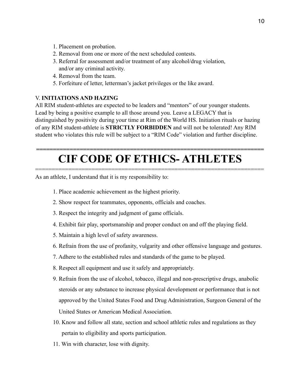- 1. Placement on probation.
- 2. Removal from one or more of the next scheduled contests.
- 3. Referral for assessment and/or treatment of any alcohol/drug violation, and/or any criminal activity.
- 4. Removal from the team.
- 5. Forfeiture of letter, letterman's jacket privileges or the like award.

#### V. **INITIATIONS AND HAZING**

All RIM student-athletes are expected to be leaders and "mentors" of our younger students. Lead by being a positive example to all those around you. Leave a LEGACY that is distinguished by positivity during your time at Rim of the World HS. Initiation rituals or hazing of any RIM student-athlete is **STRICTLY FORBIDDEN** and will not be tolerated! Any RIM student who violates this rule will be subject to a "RIM Code" violation and further discipline.

## **CIF CODE OF ETHICS- ATHLETES**

=====================================================================

**====================================================================** 

As an athlete, I understand that it is my responsibility to:

- 1. Place academic achievement as the highest priority.
- 2. Show respect for teammates, opponents, officials and coaches.
- 3. Respect the integrity and judgment of game officials.
- 4. Exhibit fair play, sportsmanship and proper conduct on and off the playing field.
- 5. Maintain a high level of safety awareness.
- 6. Refrain from the use of profanity, vulgarity and other offensive language and gestures.
- 7. Adhere to the established rules and standards of the game to be played.
- 8. Respect all equipment and use it safely and appropriately.
- 9. Refrain from the use of alcohol, tobacco, illegal and non-prescriptive drugs, anabolic steroids or any substance to increase physical development or performance that is not approved by the United States Food and Drug Administration, Surgeon General of the United States or American Medical Association.
- 10. Know and follow all state, section and school athletic rules and regulations as they pertain to eligibility and sports participation.
- 11. Win with character, lose with dignity.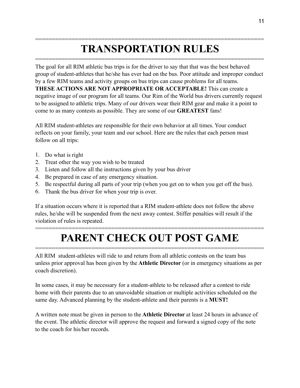### ===================================================================== **TRANSPORTATION RULES**

=====================================================================

The goal for all RIM athletic bus trips is for the driver to say that that was the best behaved group of student-athletes that he/she has ever had on the bus. Poor attitude and improper conduct by a few RIM teams and activity groups on bus trips can cause problems for all teams. **THESE ACTIONS ARE NOT APPROPRIATE OR ACCEPTABLE!** This can create a negative image of our program for all teams. Our Rim of the World bus drivers currently request to be assigned to athletic trips. Many of our drivers wear their RIM gear and make it a point to come to as many contests as possible. They are some of our **GREATEST** fans!

All RIM student-athletes are responsible for their own behavior at all times. Your conduct reflects on your family, your team and our school. Here are the rules that each person must follow on all trips:

- 1. Do what is right
- 2. Treat other the way you wish to be treated
- 3. Listen and follow all the instructions given by your bus driver
- 4. Be prepared in case of any emergency situation.
- 5. Be respectful during all parts of your trip (when you get on to when you get off the bus).
- 6. Thank the bus driver for when your trip is over.

If a situation occurs where it is reported that a RIM student-athlete does not follow the above rules, he/she will be suspended from the next away contest. Stiffer penalties will result if the violation of rules is repeated.

### ===================================================================== **PARENT CHECK OUT POST GAME**

=====================================================================

All RIM student-athletes will ride to and return from all athletic contests on the team bus unless prior approval has been given by the **Athletic Director** (or in emergency situations as per coach discretion).

In some cases, it may be necessary for a student-athlete to be released after a contest to ride home with their parents due to an unavoidable situation or multiple activities scheduled on the same day. Advanced planning by the student-athlete and their parents is a **MUST!**

A written note must be given in person to the **Athletic Director** at least 24 hours in advance of the event. The athletic director will approve the request and forward a signed copy of the note to the coach for his/her records.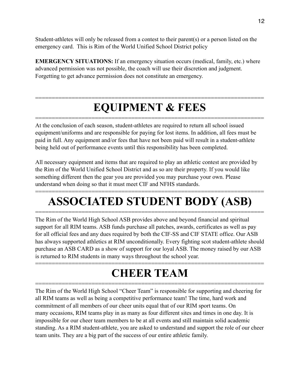Student-athletes will only be released from a contest to their parent(s) or a person listed on the emergency card. This is Rim of the World Unified School District policy

**EMERGENCY SITUATIONS:** If an emergency situation occurs (medical, family, etc.) where advanced permission was not possible, the coach will use their discretion and judgment. Forgetting to get advance permission does not constitute an emergency.

### ===================================================================== **EQUIPMENT & FEES**

=====================================================================

At the conclusion of each season, student-athletes are required to return all school issued equipment/uniforms and are responsible for paying for lost items. In addition, all fees must be paid in full. Any equipment and/or fees that have not been paid will result in a student-athlete being held out of performance events until this responsibility has been completed.

All necessary equipment and items that are required to play an athletic contest are provided by the Rim of the World Unified School District and as so are their property. If you would like something different then the gear you are provided you may purchase your own. Please understand when doing so that it must meet CIF and NFHS standards.

### ===================================================================== **ASSOCIATED STUDENT BODY (ASB)**

===================================================================== The Rim of the World High School ASB provides above and beyond financial and spiritual support for all RIM teams. ASB funds purchase all patches, awards, certificates as well as pay for all official fees and any dues required by both the CIF-SS and CIF STATE office. Our ASB has always supported athletics at RIM unconditionally. Every fighting scot student-athlete should purchase an ASB CARD as a show of support for our loyal ASB. The money raised by our ASB is returned to RIM students in many ways throughout the school year.

### ===================================================================== **CHEER TEAM**

=====================================================================

The Rim of the World High School "Cheer Team" is responsible for supporting and cheering for all RIM teams as well as being a competitive performance team! The time, hard work and commitment of all members of our cheer units equal that of our RIM sport teams. On many occasions, RIM teams play in as many as four different sites and times in one day. It is impossible for our cheer team members to be at all events and still maintain solid academic standing. As a RIM student-athlete, you are asked to understand and support the role of our cheer team units. They are a big part of the success of our entire athletic family.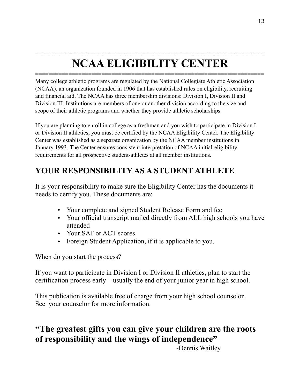### ===================================================================== **NCAA ELIGIBILITY CENTER**

=====================================================================

Many college athletic programs are regulated by the National Collegiate Athletic Association (NCAA), an organization founded in 1906 that has established rules on eligibility, recruiting and financial aid. The NCAA has three membership divisions: Division I, Division II and Division III. Institutions are members of one or another division according to the size and scope of their athletic programs and whether they provide athletic scholarships.

If you are planning to enroll in college as a freshman and you wish to participate in Division I or Division II athletics, you must be certified by the NCAA Eligibility Center. The Eligibility Center was established as a separate organization by the NCAA member institutions in January 1993. The Center ensures consistent interpretation of NCAA initial-eligibility requirements for all prospective student-athletes at all member institutions.

### **YOUR RESPONSIBILITY AS A STUDENT ATHLETE**

It is your responsibility to make sure the Eligibility Center has the documents it needs to certify you. These documents are:

- Your complete and signed Student Release Form and fee
- Your official transcript mailed directly from ALL high schools you have attended
- Your SAT or ACT scores
- Foreign Student Application, if it is applicable to you.

When do you start the process?

If you want to participate in Division I or Division II athletics, plan to start the certification process early – usually the end of your junior year in high school.

This publication is available free of charge from your high school counselor. See your counselor for more information.

### **"The greatest gifts you can give your children are the roots of responsibility and the wings of independence"**

-Dennis Waitley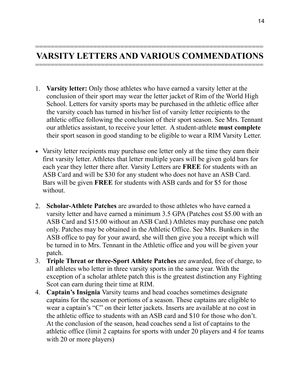#### =========================================================== **VARSITY LETTERS AND VARIOUS COMMENDATIONS**  ===========================================================

- 1. **Varsity letter:** Only those athletes who have earned a varsity letter at the conclusion of their sport may wear the letter jacket of Rim of the World High School. Letters for varsity sports may be purchased in the athletic office after the varsity coach has turned in his/her list of varsity letter recipients to the athletic office following the conclusion of their sport season. See Mrs. Tennant our athletics assistant, to receive your letter. A student-athlete **must complete** their sport season in good standing to be eligible to wear a RIM Varsity Letter.
- Varsity letter recipients may purchase one letter only at the time they earn their first varsity letter. Athletes that letter multiple years will be given gold bars for each year they letter there after. Varsity Letters are **FREE** for students with an ASB Card and will be \$30 for any student who does not have an ASB Card. Bars will be given **FREE** for students with ASB cards and for \$5 for those without.
- 2. **Scholar-Athlete Patches** are awarded to those athletes who have earned a varsity letter and have earned a minimum 3.5 GPA (Patches cost \$5.00 with an ASB Card and \$15.00 without an ASB Card.) Athletes may purchase one patch only. Patches may be obtained in the Athletic Office. See Mrs. Bunkers in the ASB office to pay for your award, she will then give you a receipt which will be turned in to Mrs. Tennant in the Athletic office and you will be given your patch.
- 3. **Triple Threat or three-Sport Athlete Patches** are awarded, free of charge, to all athletes who letter in three varsity sports in the same year. With the exception of a scholar athlete patch this is the greatest distinction any Fighting Scot can earn during their time at RIM.
- 4. **Captain's Insignia** Varsity teams and head coaches sometimes designate captains for the season or portions of a season. These captains are eligible to wear a captain's "C" on their letter jackets. Inserts are available at no cost in the athletic office to students with an ASB card and \$10 for those who don't. At the conclusion of the season, head coaches send a list of captains to the athletic office (limit 2 captains for sports with under 20 players and 4 for teams with 20 or more players)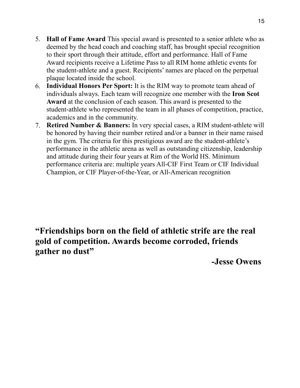- 5. **Hall of Fame Award** This special award is presented to a senior athlete who as deemed by the head coach and coaching staff, has brought special recognition to their sport through their attitude, effort and performance. Hall of Fame Award recipients receive a Lifetime Pass to all RIM home athletic events for the student-athlete and a guest. Recipients' names are placed on the perpetual plaque located inside the school.
- 6. **Individual Honors Per Sport:** It is the RIM way to promote team ahead of individuals always. Each team will recognize one member with the **Iron Scot Award** at the conclusion of each season. This award is presented to the student-athlete who represented the team in all phases of competition, practice, academics and in the community.
- 7. **Retired Number & Banners:** In very special cases, a RIM student-athlete will be honored by having their number retired and/or a banner in their name raised in the gym. The criteria for this prestigious award are the student-athlete's performance in the athletic arena as well as outstanding citizenship, leadership and attitude during their four years at Rim of the World HS. Minimum performance criteria are: multiple years All-CIF First Team or CIF Individual Champion, or CIF Player-of-the-Year, or All-American recognition

### **"Friendships born on the field of athletic strife are the real gold of competition. Awards become corroded, friends gather no dust"**

 **-Jesse Owens**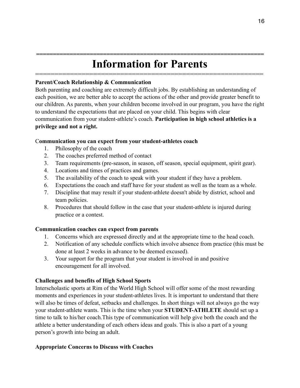### **==================================================================== Information for Parents**

===========================================================

#### **Parent/Coach Relationship & Communication**

Both parenting and coaching are extremely difficult jobs. By establishing an understanding of each position, we are better able to accept the actions of the other and provide greater benefit to our children. As parents, when your children become involved in our program, you have the right to understand the expectations that are placed on your child. This begins with clear communication from your student-athlete's coach. **Participation in high school athletics is a privilege and not a right.**

#### C**ommunication you can expect from your student-athletes coach**

- 1. Philosophy of the coach
- 2. The coaches preferred method of contact
- 3. Team requirements (pre-season, in season, off season, special equipment, spirit gear).
- 4. Locations and times of practices and games.
- 5. The availability of the coach to speak with your student if they have a problem.
- 6. Expectations the coach and staff have for your student as well as the team as a whole.
- 7. Discipline that may result if your student-athlete doesn't abide by district, school and team policies.
- 8. Procedures that should follow in the case that your student-athlete is injured during practice or a contest.

#### **Communication coaches can expect from parents**

- 1. Concerns which are expressed directly and at the appropriate time to the head coach.
- 2. Notification of any schedule conflicts which involve absence from practice (this must be done at least 2 weeks in advance to be deemed excused).
- 3. Your support for the program that your student is involved in and positive encouragement for all involved.

#### **Challenges and benefits of High School Sports**

Interscholastic sports at Rim of the World High School will offer some of the most rewarding moments and experiences in your student-athletes lives. It is important to understand that there will also be times of defeat, setbacks and challenges. In short things will not always go the way your student-athlete wants. This is the time when your **STUDENT-ATHLETE** should set up a time to talk to his/her coach.This type of communication will help give both the coach and the athlete a better understanding of each others ideas and goals. This is also a part of a young person's growth into being an adult.

#### **Appropriate Concerns to Discuss with Coaches**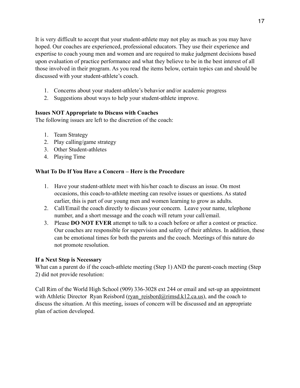It is very difficult to accept that your student-athlete may not play as much as you may have hoped. Our coaches are experienced, professional educators. They use their experience and expertise to coach young men and women and are required to make judgment decisions based upon evaluation of practice performance and what they believe to be in the best interest of all those involved in their program. As you read the items below, certain topics can and should be discussed with your student-athlete's coach.

- 1. Concerns about your student-athlete's behavior and/or academic progress
- 2. Suggestions about ways to help your student-athlete improve.

#### **Issues NOT Appropriate to Discuss with Coaches**

The following issues are left to the discretion of the coach:

- 1. Team Strategy
- 2. Play calling/game strategy
- 3. Other Student-athletes
- 4. Playing Time

#### **What To Do If You Have a Concern – Here is the Procedure**

- 1. Have your student-athlete meet with his/her coach to discuss an issue. On most occasions, this coach-to-athlete meeting can resolve issues or questions. As stated earlier, this is part of our young men and women learning to grow as adults.
- 2. Call/Email the coach directly to discuss your concern. Leave your name, telephone number, and a short message and the coach will return your call/email.
- 3. Please **DO NOT EVER** attempt to talk to a coach before or after a contest or practice. Our coaches are responsible for supervision and safety of their athletes. In addition, these can be emotional times for both the parents and the coach. Meetings of this nature do not promote resolution.

#### **If a Next Step is Necessary**

What can a parent do if the coach-athlete meeting (Step 1) AND the parent-coach meeting (Step 2) did not provide resolution:

Call Rim of the World High School (909) 336-3028 ext 244 or email and set-up an appointment with Athletic Director Ryan Reisbord (ryan\_reisbord@rimsd.k12.ca.us), and the coach to discuss the situation. At this meeting, issues of concern will be discussed and an appropriate plan of action developed.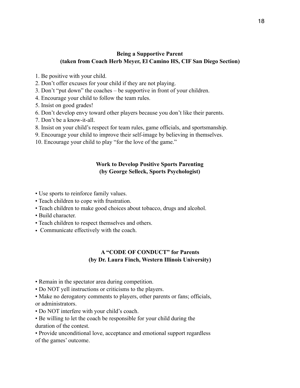#### **Being a Supportive Parent (taken from Coach Herb Meyer, El Camino HS, CIF San Diego Section)**

- 1. Be positive with your child.
- 2. Don't offer excuses for your child if they are not playing.
- 3. Don't "put down" the coaches be supportive in front of your children.
- 4. Encourage your child to follow the team rules.
- 5. Insist on good grades!
- 6. Don't develop envy toward other players because you don't like their parents.
- 7. Don't be a know-it-all.
- 8. Insist on your child's respect for team rules, game officials, and sportsmanship.
- 9. Encourage your child to improve their self-image by believing in themselves.
- 10. Encourage your child to play "for the love of the game."

#### **Work to Develop Positive Sports Parenting (by George Selleck, Sports Psychologist)**

- Use sports to reinforce family values.
- Teach children to cope with frustration.
- Teach children to make good choices about tobacco, drugs and alcohol.
- Build character.
- Teach children to respect themselves and others.
- Communicate effectively with the coach.

#### **A "CODE OF CONDUCT" for Parents (by Dr. Laura Finch, Western Illinois University)**

- Remain in the spectator area during competition.
- Do NOT yell instructions or criticisms to the players.
- Make no derogatory comments to players, other parents or fans; officials, or administrators.
- Do NOT interfere with your child's coach.
- Be willing to let the coach be responsible for your child during the duration of the contest.

• Provide unconditional love, acceptance and emotional support regardless of the games' outcome.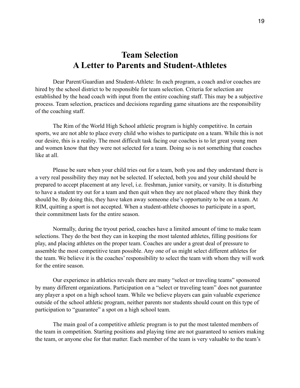### **Team Selection A Letter to Parents and Student-Athletes**

 Dear Parent/Guardian and Student-Athlete: In each program, a coach and/or coaches are hired by the school district to be responsible for team selection. Criteria for selection are established by the head coach with input from the entire coaching staff. This may be a subjective process. Team selection, practices and decisions regarding game situations are the responsibility of the coaching staff.

 The Rim of the World High School athletic program is highly competitive. In certain sports, we are not able to place every child who wishes to participate on a team. While this is not our desire, this is a reality. The most difficult task facing our coaches is to let great young men and women know that they were not selected for a team. Doing so is not something that coaches like at all.

 Please be sure when your child tries out for a team, both you and they understand there is a very real possibility they may not be selected. If selected, both you and your child should be prepared to accept placement at any level, i.e. freshman, junior varsity, or varsity. It is disturbing to have a student try out for a team and then quit when they are not placed where they think they should be. By doing this, they have taken away someone else's opportunity to be on a team. At RIM, quitting a sport is not accepted. When a student-athlete chooses to participate in a sport, their commitment lasts for the entire season.

 Normally, during the tryout period, coaches have a limited amount of time to make team selections. They do the best they can in keeping the most talented athletes, filling positions for play, and placing athletes on the proper team. Coaches are under a great deal of pressure to assemble the most competitive team possible. Any one of us might select different athletes for the team. We believe it is the coaches' responsibility to select the team with whom they will work for the entire season.

 Our experience in athletics reveals there are many "select or traveling teams" sponsored by many different organizations. Participation on a "select or traveling team" does not guarantee any player a spot on a high school team. While we believe players can gain valuable experience outside of the school athletic program, neither parents nor students should count on this type of participation to "guarantee" a spot on a high school team.

 The main goal of a competitive athletic program is to put the most talented members of the team in competition. Starting positions and playing time are not guaranteed to seniors making the team, or anyone else for that matter. Each member of the team is very valuable to the team's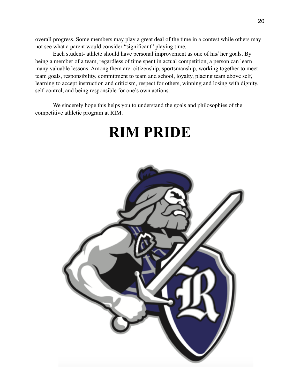overall progress. Some members may play a great deal of the time in a contest while others may not see what a parent would consider "significant" playing time.

 Each student- athlete should have personal improvement as one of his/ her goals. By being a member of a team, regardless of time spent in actual competition, a person can learn many valuable lessons. Among them are: citizenship, sportsmanship, working together to meet team goals, responsibility, commitment to team and school, loyalty, placing team above self, learning to accept instruction and criticism, respect for others, winning and losing with dignity, self-control, and being responsible for one's own actions.

 We sincerely hope this helps you to understand the goals and philosophies of the competitive athletic program at RIM.

# **RIM PRIDE**